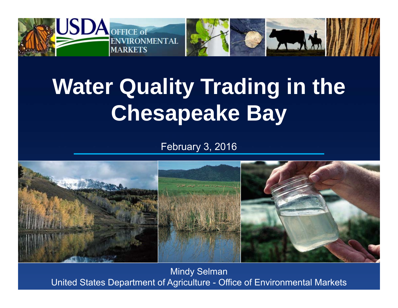

# **Water Quality Trading in the Chesapeake Bay**

February 3, 2016



Mindy Selman United States Department of Agriculture - Office of Environmental Markets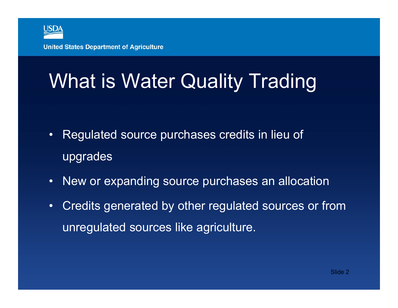

### What is Water Quality Trading

- Regulated source purchases credits in lieu of upgrades
- $\bullet$ New or expanding source purchases an allocation
- • Credits generated by other regulated sources or from unregulated sources like agriculture.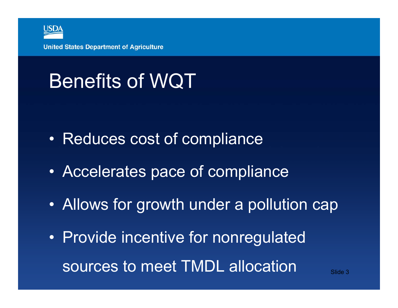

## Benefits of WQT

- $\bullet$ Reduces cost of compliance
- $\bullet$ Accelerates pace of compliance
- $\bullet$ Allows for growth under a pollution cap
- $\bullet$  Provide incentive for nonregulated sources to meet TMDL allocation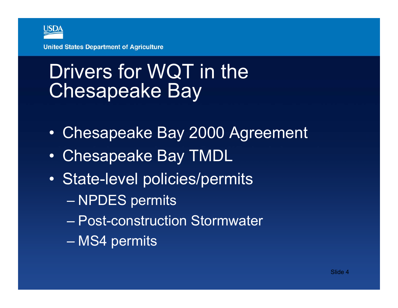

### Drivers for WQT in the Chesapeake Bay

- $\bullet$ Chesapeake Bay 2000 Agreement
- $\bullet$ Chesapeake Bay TMDL
- • State-level policies/permits
	- NPDES permits
	- Post-construction Stormwater
	- MS4 permits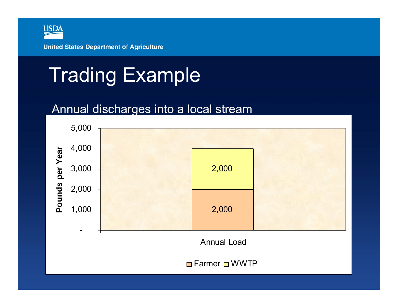

### Trading Example

#### Annual discharges into a local stream

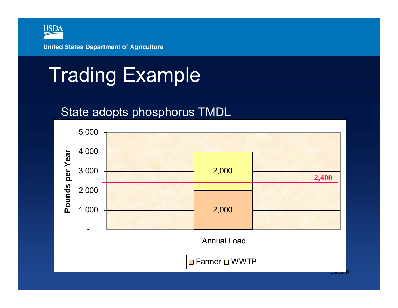

### Trading Example

### State adopts phosphorus TMDL

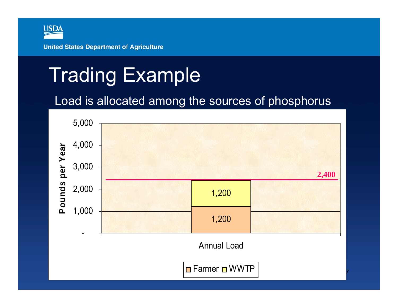

### Trading Example

### Load is allocated among the sources of phosphorus

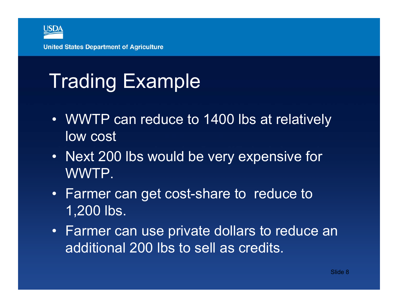

## Trading Example

- WWTP can reduce to 1400 lbs at relatively low cost
- Next 200 lbs would be very expensive for WWTP.
- Farmer can get cost-share to reduce to 1,200 lbs.
- Farmer can use private dollars to reduce an additional 200 lbs to sell as credits.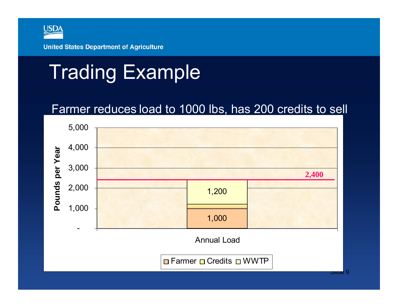

### Trading Example

### Farmer reduces load to 1000 lbs, has 200 credits to sell

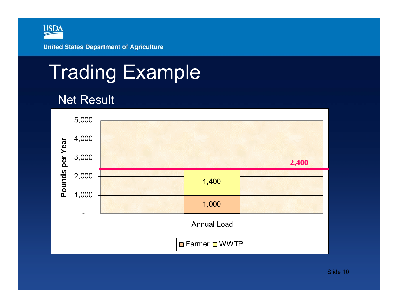

### Trading Example

#### Net Result

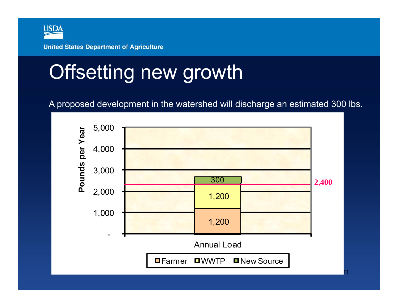

### Offsetting new growth

A proposed development in the watershed will discharge an estimated 300 lbs.

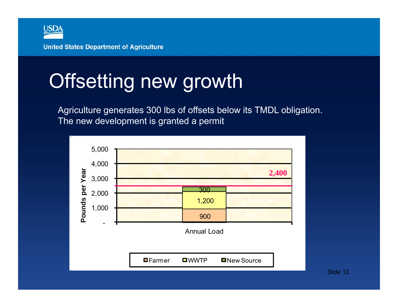

### Offsetting new growth

Agriculture generates 300 lbs of offsets below its TMDL obligation. The new development is granted a permit

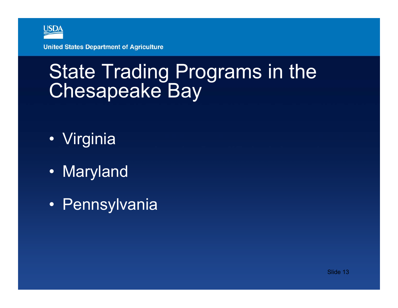

### State Trading Programs in the Chesapeake Bay

- Virginia
- Maryland
- Pennsylvania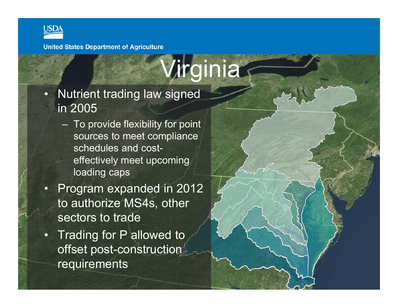

 $\overline{\mathbf{Q}}$ 

**United States Department of Agriculture** 

 Nutrient trading law signed in 2005

- To provide flexibility for point sources to meet compliance schedules and costeffectively meet upcoming loading caps
- $\overline{\mathbf{C}}$  Program expanded in 2012 to authorize MS4s, other sectors to trade
- •**Trading for P allowed to** offset post-construction requirements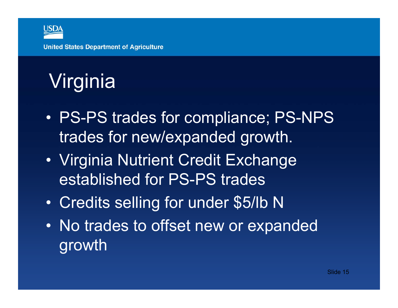

- • PS-PS trades for compliance; PS-NPS trades for new/expanded growth.
- $\bullet$  Virginia Nutrient Credit Exchange established for PS-PS trades
- $\bullet$ Credits selling for under \$5/lb N
- $\bullet$  No trades to offset new or expanded growth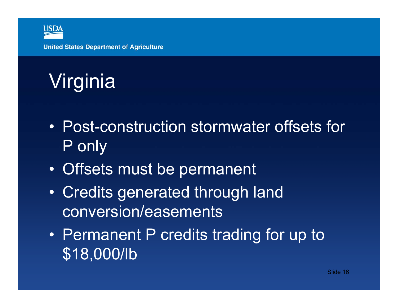

- Post-construction stormwater offsets for P only
- $\bullet$ Offsets must be permanent
- $\bullet$  Credits generated through land conversion/easements
- $\bullet$  Permanent P credits trading for up to \$18,000/lb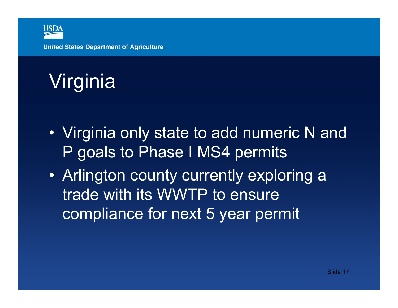

- Virginia only state to add numeric N and P goals to Phase I MS4 permits
- Arlington county currently exploring a trade with its WWTP to ensure compliance for next 5 year permit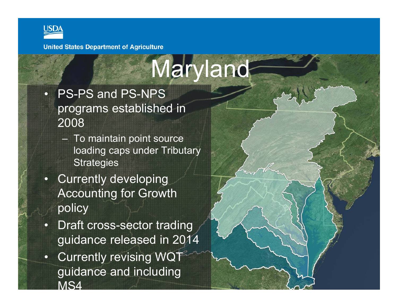

# Maryland

- $\overline{\mathbf{C}}$  PS-PS and PS-NPS programs established in 2008
	- To maintain point source loading caps under Tributary **Strategies**
- $\bullet$  Currently developing Accounting for Growth policy
- • Draft cross-sector trading guidance released in 2014
- • Currently revising WQT guidance and including MS4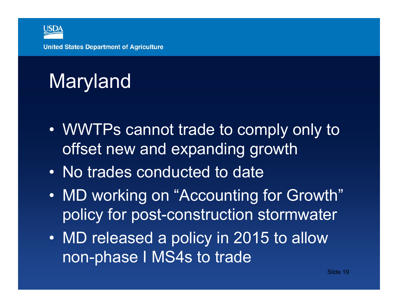

## Maryland

- WWTPs cannot trade to comply only to offset new and expanding growth
- No trades conducted to date
- $\bullet$  MD working on "Accounting for Growth" policy for post-construction stormwater
- MD released a policy in 2015 to allow non-phase I MS4s to trade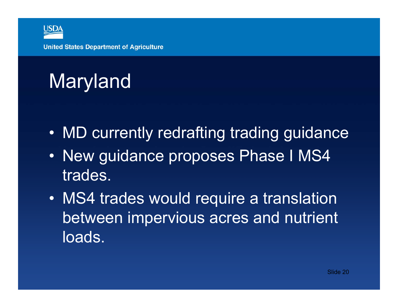

## Maryland

- •MD currently redrafting trading guidance
- $\bullet$  New guidance proposes Phase I MS4 trades.
- $\bullet$  MS4 trades would require a translation between impervious acres and nutrient loads.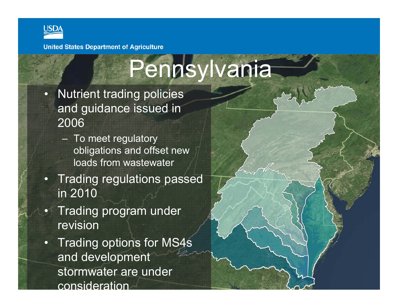

# Pennsylvania

- $\bullet$ **Nutrient trading policies** and guidance issued in 2006
	- To meet regulatory obligations and offset new loads from wastewater
- $\Box$ **Trading regulations passed** in 2010
- $\Box$  Trading program under revision
- $\bullet$  Trading options for MS4s and development stormwater are under consideration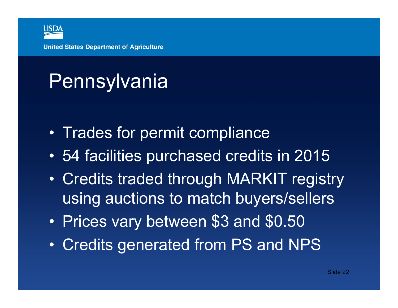

## Pennsylvania

- •Trades for permit compliance
- $\bullet$ 54 facilities purchased credits in 2015
- • Credits traded through MARKIT registry using auctions to match buyers/sellers
- $\bullet$ Prices vary between \$3 and \$0.50
- $\bullet$ Credits generated from PS and NPS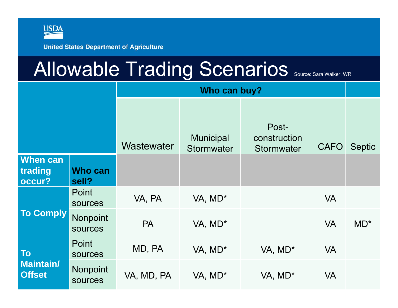

### Allowable Trading Scenarios Source: Sara Walker, WRI

|                                   |                         | Who can buy? |                                |                                     |             |               |  |  |  |
|-----------------------------------|-------------------------|--------------|--------------------------------|-------------------------------------|-------------|---------------|--|--|--|
|                                   |                         | Wastewater   | <b>Municipal</b><br>Stormwater | Post-<br>construction<br>Stormwater | <b>CAFO</b> | <b>Septic</b> |  |  |  |
| When can<br>trading<br>occur?     | Who can<br>sell?        |              |                                |                                     |             |               |  |  |  |
|                                   | Point<br>sources        | VA, PA       | VA, MD*                        |                                     | <b>VA</b>   |               |  |  |  |
| <b>To Comply</b>                  | Nonpoint<br>sources     | <b>PA</b>    | VA, MD*                        |                                     | <b>VA</b>   | $MD^*$        |  |  |  |
| <b>To</b>                         | Point<br><b>sources</b> | MD, PA       | VA, MD*                        | VA, MD*                             | <b>VA</b>   |               |  |  |  |
| <b>Maintain/</b><br><b>Offset</b> | Nonpoint<br>sources     | VA, MD, PA   | VA, MD*                        | VA, MD*                             | <b>VA</b>   |               |  |  |  |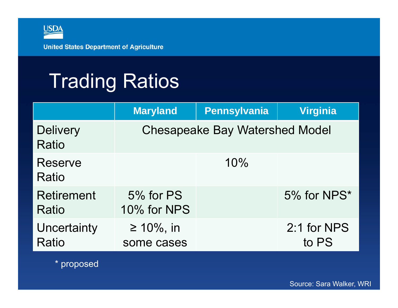

## Trading Ratios

|                                    | <b>Maryland</b>                | <b>Pennsylvania</b>                   | <b>Virginia</b>      |
|------------------------------------|--------------------------------|---------------------------------------|----------------------|
| <b>Delivery</b><br>Ratio           |                                | <b>Chesapeake Bay Watershed Model</b> |                      |
| <b>Reserve</b><br>Ratio            |                                | 10%                                   |                      |
| <b>Retirement</b><br>Ratio         | 5% for PS<br>10% for NPS       |                                       | 5% for NPS*          |
| Uncertainty<br><b>Ratio</b>        | $\geq 10\%$ , in<br>some cases |                                       | 2:1 for NPS<br>to PS |
| $*$ $n \times n \times n \times n$ |                                |                                       |                      |

proposed

Source: Sara Walker, WRI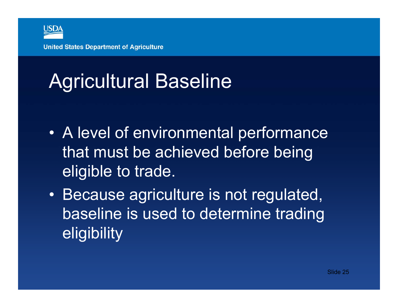

# Agricultural Baseline

- • A level of environmental performance that must be achieved before being eligible to trade.
- Because agriculture is not regulated, baseline is used to determine trading eligibility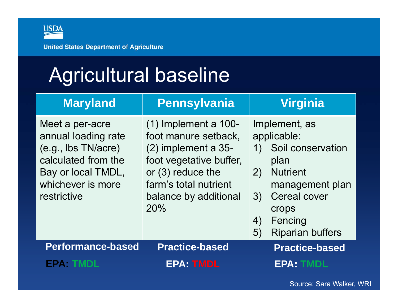

### Agricultural baseline

| <b>Maryland</b>                                                                                                                                | <b>Pennsylvania</b>                                                                                                                                                            | <b>Virginia</b>                                                                                                                                                                                     |
|------------------------------------------------------------------------------------------------------------------------------------------------|--------------------------------------------------------------------------------------------------------------------------------------------------------------------------------|-----------------------------------------------------------------------------------------------------------------------------------------------------------------------------------------------------|
| Meet a per-acre<br>annual loading rate<br>(e.g., lbs TN/acre)<br>calculated from the<br>Bay or local TMDL,<br>whichever is more<br>restrictive | $(1)$ Implement a 100-<br>foot manure setback,<br>(2) implement a 35-<br>foot vegetative buffer,<br>or (3) reduce the<br>farm's total nutrient<br>balance by additional<br>20% | Implement, as<br>applicable:<br>Soil conservation<br>1)<br>plan<br><b>Nutrient</b><br>2)<br>management plan<br><b>Cereal cover</b><br>3)<br>crops<br>Fencing<br>4)<br><b>Riparian buffers</b><br>5) |
| <b>Performance-based</b>                                                                                                                       | <b>Practice-based</b>                                                                                                                                                          | <b>Practice-based</b>                                                                                                                                                                               |
| <b>EPA: TMDL</b>                                                                                                                               | <b>EPA: TMDL</b>                                                                                                                                                               | <b>EPA: TMDL</b>                                                                                                                                                                                    |

Source: Sara Walker, WRI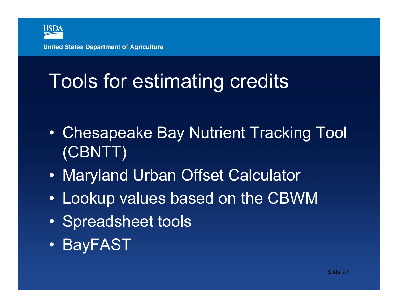

### Tools for estimating credits

- • Chesapeake Bay Nutrient Tracking Tool (CBNTT)
- $\bullet$ Maryland Urban Offset Calculator
- •Lookup values based on the CBWM
- $\bullet$ Spreadsheet tools
- $\bullet$ BayFAST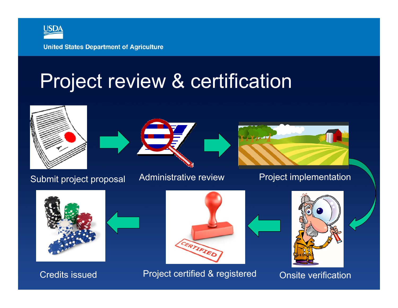

### Project review & certification







Submit project proposal Administrative review Project implementation



Credits issued



Project certified & registered Onsite verification

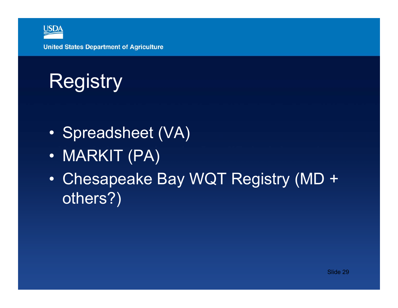

# **Registry**

- •Spreadsheet (VA)
- $\bullet$ MARKIT (PA)
- • Chesapeake Bay WQT Registry (MD + others?)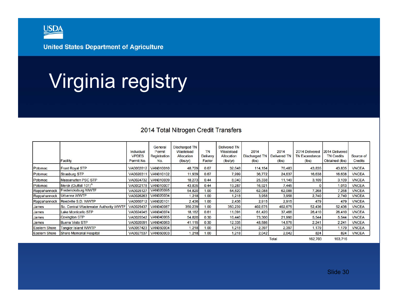

### Virginia registry

#### 2014 Total Nitrogen Credit Transfers

|                      | Facility                              | Individual<br><b>VPDES</b><br>Permit No. | General<br>Permit<br>Registration<br>No. | <b>Discharged TN</b><br>Wasteload<br>Allocation<br>(lbs/yr) | <b>TN</b><br>Delivery<br>Factor | <b>Delivered TN</b><br>Wasteload<br>Allocation<br>(lbs/yr) | 2014<br><b>Discharged TN</b><br>(lbs) | 2014<br><b>Delivered TN</b><br>(lbs) | 2014 Delivered<br><b>TN Exceedance</b><br>(lbs) | 2014 Delivered<br><b>TN Credits</b><br>Obtained (lbs) | Source of<br><b>Credits</b> |
|----------------------|---------------------------------------|------------------------------------------|------------------------------------------|-------------------------------------------------------------|---------------------------------|------------------------------------------------------------|---------------------------------------|--------------------------------------|-------------------------------------------------|-------------------------------------------------------|-----------------------------|
| Potomac              | <b>Front Royal STP</b>                |                                          | VA0062812 VAN010010                      | 48,729                                                      | 0.67                            | 32,648                                                     | 114,154                               | 76,483                               | 43,835                                          | 43,835                                                | <b>VNCEA</b>                |
| Potomac              | <b>Strasburg STP</b>                  | VA0020311                                | <b>VAN010102</b>                         | 11,939                                                      | 0.67                            | 7,999                                                      | 36,772                                | 24,637                               | 16,638                                          | 16,638                                                | <b>VNCEA</b>                |
| Potomac              | <b>Massanutten PSC STP</b>            |                                          | VA0024732 VAN010039                      | 18,273                                                      | 0.44                            | 8,040                                                      | 25,338                                | 11,149                               | 3,109                                           | 3,109                                                 | <b>VNCEA</b>                |
| Potomac              | Merck (Outfall 101) <sup>A</sup>      |                                          | VA0002178 VAN010007                      | 43,835                                                      | 0.44                            | 19,287                                                     | 16,921                                | 7,445                                |                                                 | 1.013                                                 | <b>VNCEA</b>                |
| Rappahannock         | Fredericksburg WWTF                   | VA0025127                                | <b>VAN020095</b>                         | 54,820                                                      | 1.00                            | 54.820                                                     | 62,088                                | 62,088                               | 7.268                                           | 7,268                                                 | <b>VNCEA</b>                |
| Rappahannock         | Urbanna WWTP                          | VA0026263                                | <b>VAN020034</b>                         | 1,218                                                       | 1.00                            | 1,218                                                      | 3,958                                 | 3,958                                | 2,740                                           | 2,740                                                 | <b>VNCEA</b>                |
| Rappahannock         | Reedville S.D. WWTP                   | VA0060712                                | <b>VAN020101</b>                         | 2,436                                                       | 1.00                            | 2,436                                                      | 2,915                                 | 2,915                                | 479                                             | 479                                                   | <b>VNCEA</b>                |
| James                | So. Central Wastewater Authority WWTF | VA0025437                                | <b>VAN040087</b>                         | 350,239                                                     | 1.00                            | 350,239                                                    | 402,675                               | 402,675                              | 52,436                                          | 52,436                                                | <b>VNCEA</b>                |
| James                | <b>Lake Monticello STP</b>            | VA0024945                                | <b>VAN040074</b>                         | 18,182                                                      | 0.61                            | 11.091                                                     | 61,420                                | 37,466                               | 26,410                                          | 26,410                                                | <b>VNCEA</b>                |
| James                | <b>Covington STP</b>                  | VA0025542                                | <b>VAN040065</b>                         | 54,820                                                      | 0.30                            | 16,446                                                     | 73,300                                | 21,990                               | 5,544                                           | 5,544                                                 | <b>VNCEA</b>                |
| James                | <b>Buena Vista STP</b>                | VA0020991                                | <b>VAN040063</b>                         | 41,115                                                      | 0.30                            | 12,335                                                     | 48,586                                | 14,576                               | 2,241                                           | 2,241                                                 | <b>VNCEA</b>                |
| <b>Eastern Shore</b> | <b>Tangier Island WWTP</b>            |                                          | VA0067423 VAN050004                      | 1,218                                                       | 1.00                            | 1,218                                                      | 2,397                                 | 2,397                                | 1,179                                           | 1,179                                                 | <b>VNCEA</b>                |
| <b>Eastern Shore</b> | <b>Shore Memorial Hospital</b>        |                                          | VA0027537 VAN050003                      | 1,218                                                       | 1.00                            | 1,218                                                      | 2,042                                 | 2,042                                | 824                                             | 824                                                   | <b>VNCEA</b>                |
|                      |                                       |                                          |                                          |                                                             |                                 |                                                            |                                       | Total                                | 162,703                                         | 163.716                                               |                             |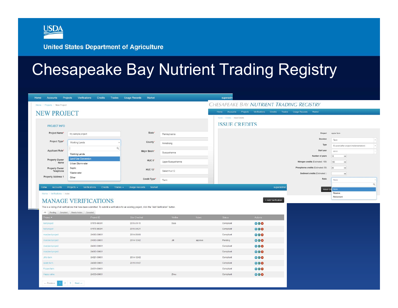

### Chesapeake Bay Nutrient Trading Registry

| Home / Projects / New Project                                                 |                                                                                                                                                                                        |                                                           |                  |         |                                |                     | CHESAPEAKE BAY NUTRIENT TRADING REGISTRY                                |                                        |
|-------------------------------------------------------------------------------|----------------------------------------------------------------------------------------------------------------------------------------------------------------------------------------|-----------------------------------------------------------|------------------|---------|--------------------------------|---------------------|-------------------------------------------------------------------------|----------------------------------------|
| <b>NEW PROJECT</b>                                                            |                                                                                                                                                                                        |                                                           |                  |         |                                |                     | Home Accounts Projects Venfications Credits Trades Usage Records Market |                                        |
|                                                                               |                                                                                                                                                                                        |                                                           |                  |         | Home / Credits / Issue Credits |                     |                                                                         |                                        |
| <b>PROJECT INFO</b>                                                           |                                                                                                                                                                                        |                                                           |                  |         | <b>ISSUE CREDITS</b>           |                     |                                                                         |                                        |
| Project Name*                                                                 | My sample project                                                                                                                                                                      | State*                                                    | Pennsylvania     |         |                                |                     | Project                                                                 | apple farm                             |
| Project Type*                                                                 | Working Lands                                                                                                                                                                          | County'                                                   | Armstrong        |         |                                |                     | Duration                                                                | Term                                   |
|                                                                               |                                                                                                                                                                                        | $\alpha$                                                  |                  |         |                                |                     | Type<br>Start year                                                      | Ex-post (after project implementation) |
| <b>Applicant Role*</b>                                                        | Working Lands                                                                                                                                                                          | Major Basin*                                              | Susquehanna      |         |                                |                     | Number of years                                                         | 2013<br>10<br>iail                     |
| <b>Property Owner</b><br>Name                                                 | <b>Land Use Conversion</b><br>Urban Stormwater                                                                                                                                         | HUC <sub>8</sub> *                                        | UpperSusquehanna |         |                                |                     | Nitrogen credits (Estimated: 100)                                       | 100<br>$\left  \cdot \right $          |
| <b>Property Owner</b><br>Telephone                                            | Septic                                                                                                                                                                                 | <b>HUC 12*</b>                                            | Select huc12     |         |                                |                     | Phosphorus credits (Estimated: 50)                                      | 20<br>$\mathbb{Z}$                     |
|                                                                               | Wastewater                                                                                                                                                                             |                                                           |                  |         |                                |                     | Sediment credits (Estimated: )                                          | $12 -$                                 |
| <b>Property Address 1</b><br>Home<br>Accounts<br>Home / Verifications / Index | Other<br><b>Verifications</b><br>Credits<br>Projects $\sim$                                                                                                                            | Credit Type*<br>Market<br>Trades $\star$<br>Usage Records | Term             |         |                                | superadmin          | Ratio<br><b>Issue Cn</b>                                                | None<br>None<br>Reserve                |
|                                                                               | <b>MANAGE VERIFICATIONS</b><br>This is a listing of all verifications that have been submitted. To submit a verification for an existing project, click the "Add Verification" button. |                                                           |                  |         |                                | + Add Verification  |                                                                         | Retirement                             |
| roject -                                                                      | All Pending Compliant Needs Action Canceled                                                                                                                                            | Site Checked                                              | Verifier         | Notes   | Status                         | Actions             |                                                                         |                                        |
| test project                                                                  | Project ID<br>51179-00001                                                                                                                                                              | 2015-01-15                                                | Sara             |         | Compliant                      | 000                 |                                                                         |                                        |
| test project                                                                  | 51179-00001                                                                                                                                                                            | 2015-04-21                                                |                  |         | Compliant                      | 000                 |                                                                         |                                        |
| maryland project                                                              | 24003-00001                                                                                                                                                                            | 2014-09-09                                                |                  |         | Compliant                      | $\circ\bullet\circ$ |                                                                         |                                        |
| maryland project                                                              | 24003-00001                                                                                                                                                                            | 2014-12-02                                                | <b>Jill</b>      | approve | Pending                        | 000                 |                                                                         |                                        |
| maryland project                                                              | 24003-00001                                                                                                                                                                            |                                                           |                  |         | Compliant                      | 000                 |                                                                         |                                        |
| maryland project                                                              | 24003-00001                                                                                                                                                                            |                                                           |                  |         | Compliant                      | 000                 |                                                                         |                                        |
| <b>Jill's farm</b>                                                            | 24021-00001                                                                                                                                                                            | 2014-12-02                                                |                  |         | Compliant                      | 000                 |                                                                         |                                        |
| apple farm                                                                    | 24009-00001                                                                                                                                                                            | 2015-01-07                                                |                  |         | Compliant                      | $\circ\circ\circ$   |                                                                         |                                        |
| Frozen farm                                                                   | 24031-00001                                                                                                                                                                            |                                                           |                  |         | Compliant                      | $\circ\bullet\circ$ |                                                                         |                                        |